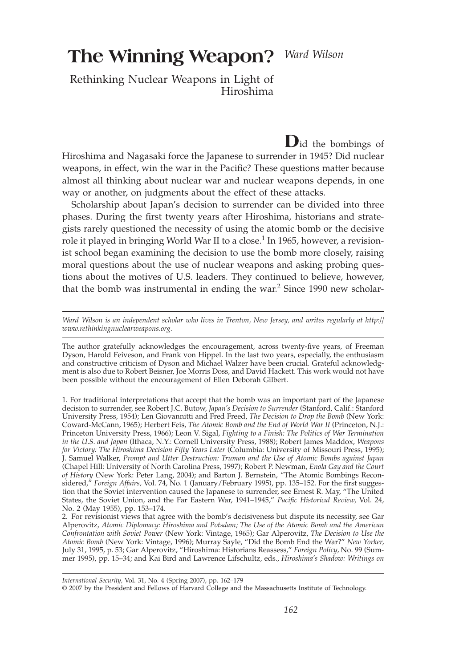# **The Winning Weapon?** *Ward Wilson*

Rethinking Nuclear Weapons in Light of Hiroshima

**D**id the bombings of Hiroshima and Nagasaki force the Japanese to surrender in 1945? Did nuclear weapons, in effect, win the war in the Pacific? These questions matter because almost all thinking about nuclear war and nuclear weapons depends, in one way or another, on judgments about the effect of these attacks.

Scholarship about Japan's decision to surrender can be divided into three phases. During the first twenty years after Hiroshima, historians and strategists rarely questioned the necessity of using the atomic bomb or the decisive role it played in bringing World War II to a close.<sup>1</sup> In 1965, however, a revisionist school began examining the decision to use the bomb more closely, raising moral questions about the use of nuclear weapons and asking probing questions about the motives of U.S. leaders. They continued to believe, however, that the bomb was instrumental in ending the war.<sup>2</sup> Since 1990 new scholar-

*Ward Wilson is an independent scholar who lives in Trenton, New Jersey, and writes regularly at http:// www.rethinkingnuclearweapons.org.*

The author gratefully acknowledges the encouragement, across twenty-five years, of Freeman Dyson, Harold Feiveson, and Frank von Hippel. In the last two years, especially, the enthusiasm and constructive criticism of Dyson and Michael Walzer have been crucial. Grateful acknowledgment is also due to Robert Beisner, Joe Morris Doss, and David Hackett. This work would not have been possible without the encouragement of Ellen Deborah Gilbert.

1. For traditional interpretations that accept that the bomb was an important part of the Japanese decision to surrender, see Robert J.C. Butow, *Japan's Decision to Surrender* (Stanford, Calif.: Stanford University Press, 1954); Len Giovannitti and Fred Freed, *The Decision to Drop the Bomb* (New York: Coward-McCann, 1965); Herbert Feis, *The Atomic Bomb and the End of World War II* (Princeton, N.J.: Princeton University Press, 1966); Leon V. Sigal, *Fighting to a Finish: The Politics of War Termination in the U.S*. *and Japan* (Ithaca, N.Y.: Cornell University Press, 1988); Robert James Maddox, *Weapons for Victory: The Hiroshima Decision Fifty Years Later* (Columbia: University of Missouri Press, 1995); J. Samuel Walker, *Prompt and Utter Destruction: Truman and the Use of Atomic Bombs against Japan* (Chapel Hill: University of North Carolina Press, 1997); Robert P. Newman, *Enola Gay and the Court of History* (New York: Peter Lang, 2004); and Barton J. Bernstein, "The Atomic Bombings Reconsidered," Foreign Affairs, Vol. 74, No. 1 (January/February 1995), pp. 135–152. For the first suggestion that the Soviet intervention caused the Japanese to surrender, see Ernest R. May, "The United States, the Soviet Union, and the Far Eastern War, 1941–1945," Pacific Historical Review, Vol. 24, No. 2 (May 1955), pp. 153–174.

2. For revisionist views that agree with the bomb's decisiveness but dispute its necessity, see Gar Alperovitz, *Atomic Diplomacy: Hiroshima and Potsdam; The Use of the Atomic Bomb and the American Confrontation with Soviet Power* (New York: Vintage, 1965); Gar Alperovitz, *The Decision to Use the Atomic Bomb* (New York: Vintage, 1996); Murray Sayle, "Did the Bomb End the War?" *New Yorker,* July 31, 1995, p. 53; Gar Alperovitz, "Hiroshima: Historians Reassess," *Foreign Policy,* No. 99 (Summer 1995), pp. 15–34; and Kai Bird and Lawrence Lifschultz, eds., *Hiroshima's Shadow: Writings on*

*International Security,* Vol. 31, No. 4 (Spring 2007), pp. 162–179

© 2007 by the President and Fellows of Harvard College and the Massachusetts Institute of Technology.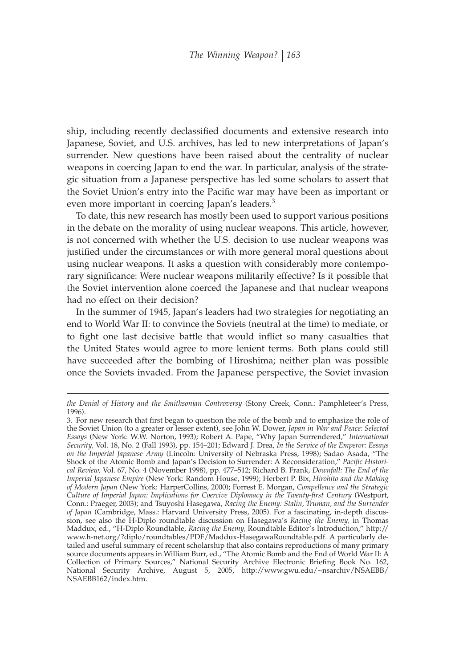ship, including recently declassified documents and extensive research into Japanese, Soviet, and U.S. archives, has led to new interpretations of Japan's surrender. New questions have been raised about the centrality of nuclear weapons in coercing Japan to end the war. In particular, analysis of the strategic situation from a Japanese perspective has led some scholars to assert that the Soviet Union's entry into the Pacific war may have been as important or even more important in coercing Japan's leaders.<sup>3</sup>

To date, this new research has mostly been used to support various positions in the debate on the morality of using nuclear weapons. This article, however, is not concerned with whether the U.S. decision to use nuclear weapons was justified under the circumstances or with more general moral questions about using nuclear weapons. It asks a question with considerably more contemporary significance: Were nuclear weapons militarily effective? Is it possible that the Soviet intervention alone coerced the Japanese and that nuclear weapons had no effect on their decision?

In the summer of 1945, Japan's leaders had two strategies for negotiating an end to World War II: to convince the Soviets (neutral at the time) to mediate, or to fight one last decisive battle that would inflict so many casualties that the United States would agree to more lenient terms. Both plans could still have succeeded after the bombing of Hiroshima; neither plan was possible once the Soviets invaded. From the Japanese perspective, the Soviet invasion

*the Denial of History and the Smithsonian Controversy* (Stony Creek, Conn.: Pamphleteer's Press, 1996).

<sup>3.</sup> For new research that first began to question the role of the bomb and to emphasize the role of the Soviet Union (to a greater or lesser extent), see John W. Dower, *Japan in War and Peace: Selected Essays* (New York: W.W. Norton, 1993); Robert A. Pape, "Why Japan Surrendered," *International Security,* Vol. 18, No. 2 (Fall 1993), pp. 154–201; Edward J. Drea, *In the Service of the Emperor: Essays on the Imperial Japanese Army* (Lincoln: University of Nebraska Press, 1998); Sadao Asada, "The Shock of the Atomic Bomb and Japan's Decision to Surrender: A Reconsideration," Pacific Histori*cal Review,* Vol. 67, No. 4 (November 1998), pp. 477–512; Richard B. Frank, *Downfall: The End of the Imperial Japanese Empire* (New York: Random House, 1999); Herbert P. Bix, *Hirohito and the Making of Modern Japan* (New York: HarperCollins, 2000); Forrest E. Morgan, *Compellence and the Strategic* Culture of Imperial Japan: Implications for Coercive Diplomacy in the Twenty-first Century (Westport, Conn.: Praeger, 2003); and Tsuyoshi Hasegawa, *Racing the Enemy: Stalin, Truman, and the Surrender of Japan* (Cambridge, Mass.: Harvard University Press, 2005). For a fascinating, in-depth discussion, see also the H-Diplo roundtable discussion on Hasegawa's *Racing the Enemy,* in Thomas Maddux, ed., "H-Diplo Roundtable, *Racing the Enemy,* Roundtable Editor's Introduction," http:// www.h-net.org/?diplo/roundtables/PDF/Maddux-HasegawaRoundtable.pdf. A particularly detailed and useful summary of recent scholarship that also contains reproductions of many primary source documents appears in William Burr, ed., "The Atomic Bomb and the End of World War II: A Collection of Primary Sources," National Security Archive Electronic Briefing Book No. 162, National Security Archive, August 5, 2005, http://www.gwu.edu/~nsarchiv/NSAEBB/ NSAEBB162/index.htm.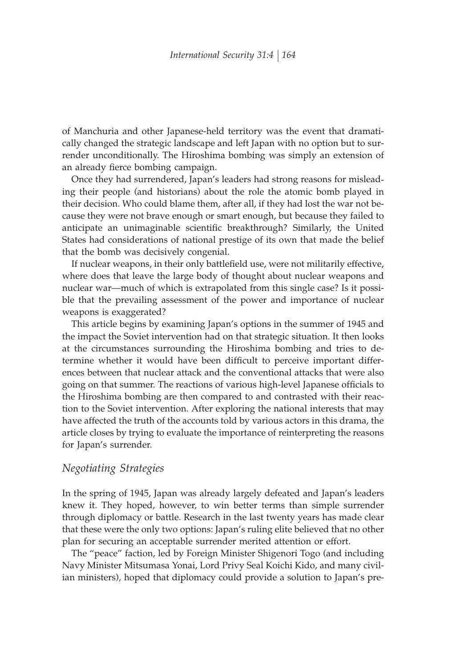of Manchuria and other Japanese-held territory was the event that dramatically changed the strategic landscape and left Japan with no option but to surrender unconditionally. The Hiroshima bombing was simply an extension of an already fierce bombing campaign.

Once they had surrendered, Japan's leaders had strong reasons for misleading their people (and historians) about the role the atomic bomb played in their decision. Who could blame them, after all, if they had lost the war not because they were not brave enough or smart enough, but because they failed to anticipate an unimaginable scientific breakthrough? Similarly, the United States had considerations of national prestige of its own that made the belief that the bomb was decisively congenial.

If nuclear weapons, in their only battlefield use, were not militarily effective, where does that leave the large body of thought about nuclear weapons and nuclear war—much of which is extrapolated from this single case? Is it possible that the prevailing assessment of the power and importance of nuclear weapons is exaggerated?

This article begins by examining Japan's options in the summer of 1945 and the impact the Soviet intervention had on that strategic situation. It then looks at the circumstances surrounding the Hiroshima bombing and tries to determine whether it would have been difficult to perceive important differences between that nuclear attack and the conventional attacks that were also going on that summer. The reactions of various high-level Japanese officials to the Hiroshima bombing are then compared to and contrasted with their reaction to the Soviet intervention. After exploring the national interests that may have affected the truth of the accounts told by various actors in this drama, the article closes by trying to evaluate the importance of reinterpreting the reasons for Japan's surrender.

## *Negotiating Strategies*

In the spring of 1945, Japan was already largely defeated and Japan's leaders knew it. They hoped, however, to win better terms than simple surrender through diplomacy or battle. Research in the last twenty years has made clear that these were the only two options: Japan's ruling elite believed that no other plan for securing an acceptable surrender merited attention or effort.

The "peace" faction, led by Foreign Minister Shigenori Togo (and including Navy Minister Mitsumasa Yonai, Lord Privy Seal Koichi Kido, and many civilian ministers), hoped that diplomacy could provide a solution to Japan's pre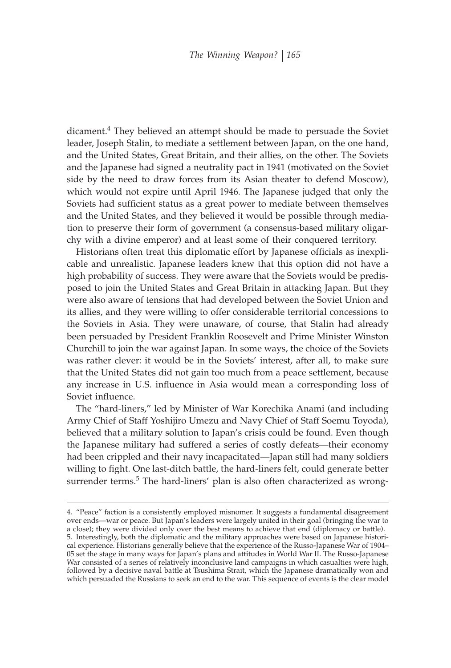dicament.<sup>4</sup> They believed an attempt should be made to persuade the Soviet leader, Joseph Stalin, to mediate a settlement between Japan, on the one hand, and the United States, Great Britain, and their allies, on the other. The Soviets and the Japanese had signed a neutrality pact in 1941 (motivated on the Soviet side by the need to draw forces from its Asian theater to defend Moscow), which would not expire until April 1946. The Japanese judged that only the Soviets had sufficient status as a great power to mediate between themselves and the United States, and they believed it would be possible through mediation to preserve their form of government (a consensus-based military oligarchy with a divine emperor) and at least some of their conquered territory.

Historians often treat this diplomatic effort by Japanese officials as inexplicable and unrealistic. Japanese leaders knew that this option did not have a high probability of success. They were aware that the Soviets would be predisposed to join the United States and Great Britain in attacking Japan. But they were also aware of tensions that had developed between the Soviet Union and its allies, and they were willing to offer considerable territorial concessions to the Soviets in Asia. They were unaware, of course, that Stalin had already been persuaded by President Franklin Roosevelt and Prime Minister Winston Churchill to join the war against Japan. In some ways, the choice of the Soviets was rather clever: it would be in the Soviets' interest, after all, to make sure that the United States did not gain too much from a peace settlement, because any increase in U.S. influence in Asia would mean a corresponding loss of Soviet influence.

The "hard-liners," led by Minister of War Korechika Anami (and including Army Chief of Staff Yoshijiro Umezu and Navy Chief of Staff Soemu Toyoda), believed that a military solution to Japan's crisis could be found. Even though the Japanese military had suffered a series of costly defeats—their economy had been crippled and their navy incapacitated—Japan still had many soldiers willing to fight. One last-ditch battle, the hard-liners felt, could generate better surrender terms.<sup>5</sup> The hard-liners' plan is also often characterized as wrong-

<sup>4. &</sup>quot;Peace" faction is a consistently employed misnomer. It suggests a fundamental disagreement over ends—war or peace. But Japan's leaders were largely united in their goal (bringing the war to a close); they were divided only over the best means to achieve that end (diplomacy or battle). 5. Interestingly, both the diplomatic and the military approaches were based on Japanese historical experience. Historians generally believe that the experience of the Russo-Japanese War of 1904– 05 set the stage in many ways for Japan's plans and attitudes in World War II. The Russo-Japanese War consisted of a series of relatively inconclusive land campaigns in which casualties were high, followed by a decisive naval battle at Tsushima Strait, which the Japanese dramatically won and which persuaded the Russians to seek an end to the war. This sequence of events is the clear model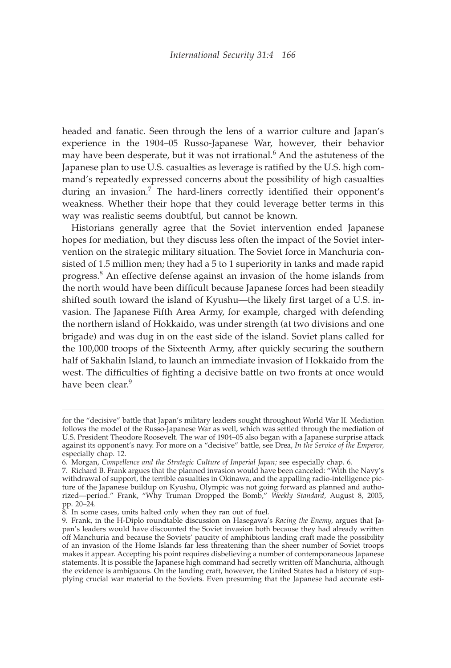headed and fanatic. Seen through the lens of a warrior culture and Japan's experience in the 1904–05 Russo-Japanese War, however, their behavior may have been desperate, but it was not irrational.<sup>6</sup> And the astuteness of the Japanese plan to use U.S. casualties as leverage is ratified by the U.S. high command's repeatedly expressed concerns about the possibility of high casualties during an invasion.<sup>7</sup> The hard-liners correctly identified their opponent's weakness. Whether their hope that they could leverage better terms in this way was realistic seems doubtful, but cannot be known.

Historians generally agree that the Soviet intervention ended Japanese hopes for mediation, but they discuss less often the impact of the Soviet intervention on the strategic military situation. The Soviet force in Manchuria consisted of 1.5 million men; they had a 5 to 1 superiority in tanks and made rapid progress.8 An effective defense against an invasion of the home islands from the north would have been difficult because Japanese forces had been steadily shifted south toward the island of Kyushu—the likely first target of a U.S. invasion. The Japanese Fifth Area Army, for example, charged with defending the northern island of Hokkaido, was under strength (at two divisions and one brigade) and was dug in on the east side of the island. Soviet plans called for the 100,000 troops of the Sixteenth Army, after quickly securing the southern half of Sakhalin Island, to launch an immediate invasion of Hokkaido from the west. The difficulties of fighting a decisive battle on two fronts at once would have been clear.<sup>9</sup>

for the "decisive" battle that Japan's military leaders sought throughout World War II. Mediation follows the model of the Russo-Japanese War as well, which was settled through the mediation of U.S. President Theodore Roosevelt. The war of 1904–05 also began with a Japanese surprise attack against its opponent's navy. For more on a "decisive" battle, see Drea, *In the Service of the Emperor,* especially chap. 12.

<sup>6.</sup> Morgan, *Compellence and the Strategic Culture of Imperial Japan;* see especially chap. 6.

<sup>7.</sup> Richard B. Frank argues that the planned invasion would have been canceled: "With the Navy's withdrawal of support, the terrible casualties in Okinawa, and the appalling radio-intelligence picture of the Japanese buildup on Kyushu, Olympic was not going forward as planned and authorized—period." Frank, "Why Truman Dropped the Bomb," *Weekly Standard,* August 8, 2005, pp. 20–24.

<sup>8.</sup> In some cases, units halted only when they ran out of fuel.

<sup>9.</sup> Frank, in the H-Diplo roundtable discussion on Hasegawa's *Racing the Enemy,* argues that Japan's leaders would have discounted the Soviet invasion both because they had already written off Manchuria and because the Soviets' paucity of amphibious landing craft made the possibility of an invasion of the Home Islands far less threatening than the sheer number of Soviet troops makes it appear. Accepting his point requires disbelieving a number of contemporaneous Japanese statements. It is possible the Japanese high command had secretly written off Manchuria, although the evidence is ambiguous. On the landing craft, however, the United States had a history of supplying crucial war material to the Soviets. Even presuming that the Japanese had accurate esti-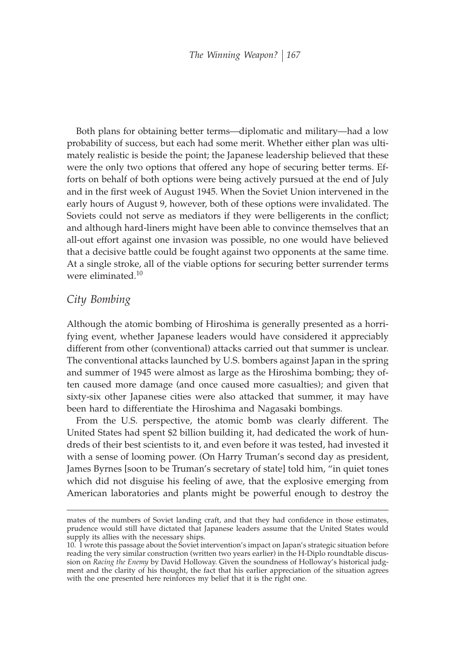Both plans for obtaining better terms—diplomatic and military—had a low probability of success, but each had some merit. Whether either plan was ultimately realistic is beside the point; the Japanese leadership believed that these were the only two options that offered any hope of securing better terms. Efforts on behalf of both options were being actively pursued at the end of July and in the first week of August 1945. When the Soviet Union intervened in the early hours of August 9, however, both of these options were invalidated. The Soviets could not serve as mediators if they were belligerents in the conflict; and although hard-liners might have been able to convince themselves that an all-out effort against one invasion was possible, no one would have believed that a decisive battle could be fought against two opponents at the same time. At a single stroke, all of the viable options for securing better surrender terms were eliminated.<sup>10</sup>

# *City Bombing*

Although the atomic bombing of Hiroshima is generally presented as a horrifying event, whether Japanese leaders would have considered it appreciably different from other (conventional) attacks carried out that summer is unclear. The conventional attacks launched by U.S. bombers against Japan in the spring and summer of 1945 were almost as large as the Hiroshima bombing; they often caused more damage (and once caused more casualties); and given that sixty-six other Japanese cities were also attacked that summer, it may have been hard to differentiate the Hiroshima and Nagasaki bombings.

From the U.S. perspective, the atomic bomb was clearly different. The United States had spent \$2 billion building it, had dedicated the work of hundreds of their best scientists to it, and even before it was tested, had invested it with a sense of looming power. (On Harry Truman's second day as president, James Byrnes [soon to be Truman's secretary of state] told him, "in quiet tones which did not disguise his feeling of awe, that the explosive emerging from American laboratories and plants might be powerful enough to destroy the

mates of the numbers of Soviet landing craft, and that they had confidence in those estimates, prudence would still have dictated that Japanese leaders assume that the United States would supply its allies with the necessary ships.

<sup>10.</sup> I wrote this passage about the Soviet intervention's impact on Japan's strategic situation before reading the very similar construction (written two years earlier) in the H-Diplo roundtable discussion on *Racing the Enemy* by David Holloway. Given the soundness of Holloway's historical judgment and the clarity of his thought, the fact that his earlier appreciation of the situation agrees with the one presented here reinforces my belief that it is the right one.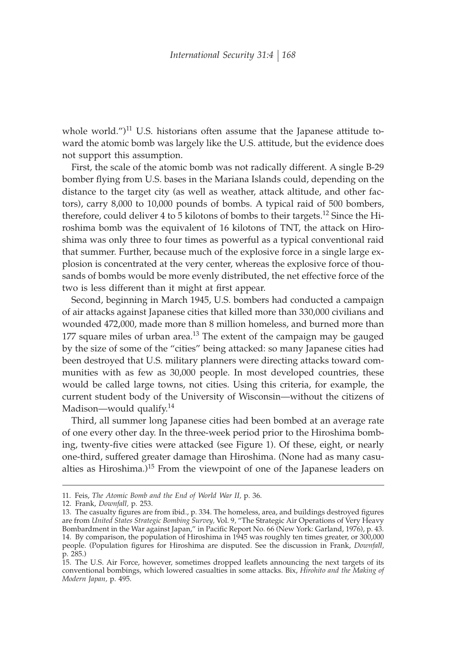whole world.") $^{11}$  U.S. historians often assume that the Japanese attitude toward the atomic bomb was largely like the U.S. attitude, but the evidence does not support this assumption.

First, the scale of the atomic bomb was not radically different. A single B-29 bomber flying from U.S. bases in the Mariana Islands could, depending on the distance to the target city (as well as weather, attack altitude, and other factors), carry 8,000 to 10,000 pounds of bombs. A typical raid of 500 bombers, therefore, could deliver 4 to 5 kilotons of bombs to their targets.<sup>12</sup> Since the Hiroshima bomb was the equivalent of 16 kilotons of TNT, the attack on Hiroshima was only three to four times as powerful as a typical conventional raid that summer. Further, because much of the explosive force in a single large explosion is concentrated at the very center, whereas the explosive force of thousands of bombs would be more evenly distributed, the net effective force of the two is less different than it might at first appear.

Second, beginning in March 1945, U.S. bombers had conducted a campaign of air attacks against Japanese cities that killed more than 330,000 civilians and wounded 472,000, made more than 8 million homeless, and burned more than 177 square miles of urban area. $13$  The extent of the campaign may be gauged by the size of some of the "cities" being attacked: so many Japanese cities had been destroyed that U.S. military planners were directing attacks toward communities with as few as 30,000 people. In most developed countries, these would be called large towns, not cities. Using this criteria, for example, the current student body of the University of Wisconsin—without the citizens of Madison—would qualify.<sup>14</sup>

Third, all summer long Japanese cities had been bombed at an average rate of one every other day. In the three-week period prior to the Hiroshima bombing, twenty-five cities were attacked (see Figure 1). Of these, eight, or nearly one-third, suffered greater damage than Hiroshima. (None had as many casualties as Hiroshima.)<sup>15</sup> From the viewpoint of one of the Japanese leaders on

<sup>11.</sup> Feis, *The Atomic Bomb and the End of World War II,* p. 36.

<sup>12.</sup> Frank, *Downfall,* p. 253.

<sup>13.</sup> The casualty figures are from ibid., p. 334. The homeless, area, and buildings destroyed figures are from *United States Strategic Bombing Survey,* Vol. 9*,* "The Strategic Air Operations of Very Heavy Bombardment in the War against Japan," in Pacific Report No. 66 (New York: Garland, 1976), p. 43. 14. By comparison, the population of Hiroshima in 1945 was roughly ten times greater, or 300,000 people. (Population figures for Hiroshima are disputed. See the discussion in Frank, *Downfall*, p. 285.)

<sup>15.</sup> The U.S. Air Force, however, sometimes dropped leaflets announcing the next targets of its conventional bombings, which lowered casualties in some attacks. Bix, *Hirohito and the Making of Modern Japan,* p. 495.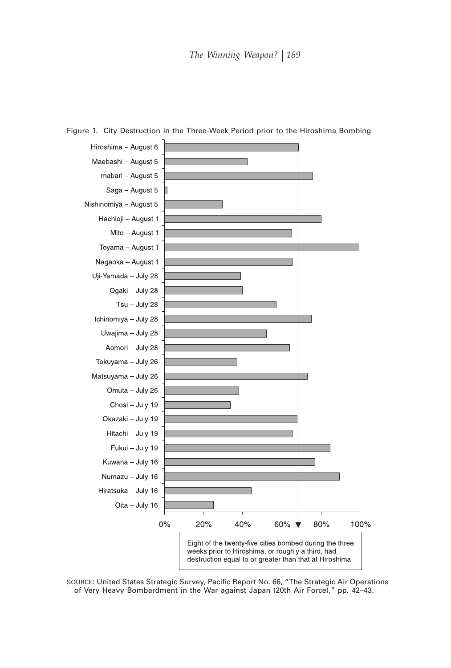

Figure 1. City Destruction in the Three-Week Period prior to the Hiroshima Bombing

SOURCE: United States Strategic Survey, Pacific Report No. 66, "The Strategic Air Operations of Very Heavy Bombardment in the War against Japan (20th Air Force)," pp. 42–43.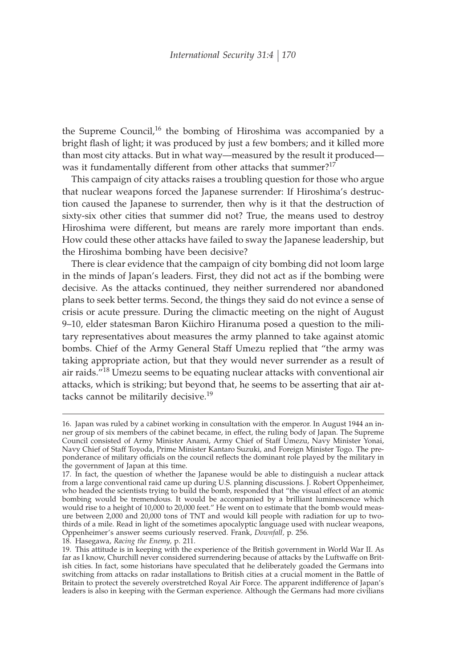the Supreme Council,<sup>16</sup> the bombing of Hiroshima was accompanied by a bright flash of light; it was produced by just a few bombers; and it killed more than most city attacks. But in what way—measured by the result it produced was it fundamentally different from other attacks that summer?<sup>17</sup>

This campaign of city attacks raises a troubling question for those who argue that nuclear weapons forced the Japanese surrender: If Hiroshima's destruction caused the Japanese to surrender, then why is it that the destruction of sixty-six other cities that summer did not? True, the means used to destroy Hiroshima were different, but means are rarely more important than ends. How could these other attacks have failed to sway the Japanese leadership, but the Hiroshima bombing have been decisive?

There is clear evidence that the campaign of city bombing did not loom large in the minds of Japan's leaders. First, they did not act as if the bombing were decisive. As the attacks continued, they neither surrendered nor abandoned plans to seek better terms. Second, the things they said do not evince a sense of crisis or acute pressure. During the climactic meeting on the night of August 9–10, elder statesman Baron Kiichiro Hiranuma posed a question to the military representatives about measures the army planned to take against atomic bombs. Chief of the Army General Staff Umezu replied that "the army was taking appropriate action, but that they would never surrender as a result of air raids."<sup>18</sup> Umezu seems to be equating nuclear attacks with conventional air attacks, which is striking; but beyond that, he seems to be asserting that air attacks cannot be militarily decisive.<sup>19</sup>

18. Hasegawa, *Racing the Enemy,* p. 211.

<sup>16.</sup> Japan was ruled by a cabinet working in consultation with the emperor. In August 1944 an inner group of six members of the cabinet became, in effect, the ruling body of Japan. The Supreme Council consisted of Army Minister Anami, Army Chief of Staff Umezu, Navy Minister Yonai, Navy Chief of Staff Toyoda, Prime Minister Kantaro Suzuki, and Foreign Minister Togo. The preponderance of military officials on the council reflects the dominant role played by the military in the government of Japan at this time.

<sup>17.</sup> In fact, the question of whether the Japanese would be able to distinguish a nuclear attack from a large conventional raid came up during U.S. planning discussions. J. Robert Oppenheimer, who headed the scientists trying to build the bomb, responded that "the visual effect of an atomic bombing would be tremendous. It would be accompanied by a brilliant luminescence which would rise to a height of 10,000 to 20,000 feet." He went on to estimate that the bomb would measure between 2,000 and 20,000 tons of TNT and would kill people with radiation for up to twothirds of a mile. Read in light of the sometimes apocalyptic language used with nuclear weapons, Oppenheimer's answer seems curiously reserved. Frank, *Downfall,* p. 256.

<sup>19.</sup> This attitude is in keeping with the experience of the British government in World War II. As far as I know, Churchill never considered surrendering because of attacks by the Luftwaffe on British cities. In fact, some historians have speculated that he deliberately goaded the Germans into switching from attacks on radar installations to British cities at a crucial moment in the Battle of Britain to protect the severely overstretched Royal Air Force. The apparent indifference of Japan's leaders is also in keeping with the German experience. Although the Germans had more civilians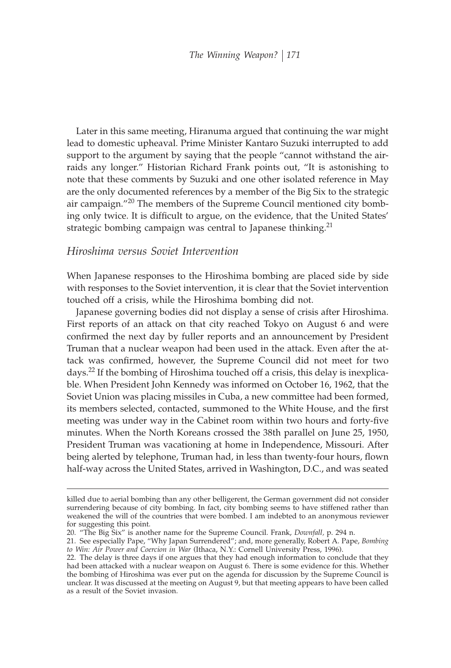Later in this same meeting, Hiranuma argued that continuing the war might lead to domestic upheaval. Prime Minister Kantaro Suzuki interrupted to add support to the argument by saying that the people "cannot withstand the airraids any longer." Historian Richard Frank points out, "It is astonishing to note that these comments by Suzuki and one other isolated reference in May are the only documented references by a member of the Big Six to the strategic air campaign."<sup>20</sup> The members of the Supreme Council mentioned city bombing only twice. It is difficult to argue, on the evidence, that the United States' strategic bombing campaign was central to Japanese thinking. $21$ 

## *Hiroshima versus Soviet Intervention*

When Japanese responses to the Hiroshima bombing are placed side by side with responses to the Soviet intervention, it is clear that the Soviet intervention touched off a crisis, while the Hiroshima bombing did not.

Japanese governing bodies did not display a sense of crisis after Hiroshima. First reports of an attack on that city reached Tokyo on August 6 and were confirmed the next day by fuller reports and an announcement by President Truman that a nuclear weapon had been used in the attack. Even after the attack was confirmed, however, the Supreme Council did not meet for two days.<sup>22</sup> If the bombing of Hiroshima touched off a crisis, this delay is inexplicable. When President John Kennedy was informed on October 16, 1962, that the Soviet Union was placing missiles in Cuba, a new committee had been formed, its members selected, contacted, summoned to the White House, and the first meeting was under way in the Cabinet room within two hours and forty-five minutes. When the North Koreans crossed the 38th parallel on June 25, 1950, President Truman was vacationing at home in Independence, Missouri. After being alerted by telephone, Truman had, in less than twenty-four hours, flown half-way across the United States, arrived in Washington, D.C., and was seated

killed due to aerial bombing than any other belligerent, the German government did not consider surrendering because of city bombing. In fact, city bombing seems to have stiffened rather than weakened the will of the countries that were bombed. I am indebted to an anonymous reviewer for suggesting this point.

<sup>20. &</sup>quot;The Big Six" is another name for the Supreme Council. Frank, *Downfall,* p. 294 n.

<sup>21.</sup> See especially Pape, "Why Japan Surrendered"; and, more generally, Robert A. Pape, *Bombing to Win: Air Power and Coercion in War* (Ithaca, N.Y.: Cornell University Press, 1996).

<sup>22.</sup> The delay is three days if one argues that they had enough information to conclude that they had been attacked with a nuclear weapon on August 6. There is some evidence for this. Whether the bombing of Hiroshima was ever put on the agenda for discussion by the Supreme Council is unclear. It was discussed at the meeting on August 9, but that meeting appears to have been called as a result of the Soviet invasion.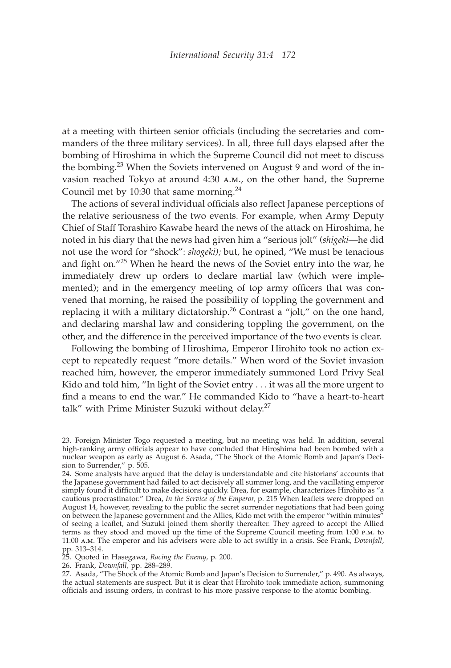at a meeting with thirteen senior officials (including the secretaries and commanders of the three military services). In all, three full days elapsed after the bombing of Hiroshima in which the Supreme Council did not meet to discuss the bombing.<sup>23</sup> When the Soviets intervened on August 9 and word of the invasion reached Tokyo at around 4:30 a.m., on the other hand, the Supreme Council met by 10:30 that same morning. $^{24}$ 

The actions of several individual officials also reflect Japanese perceptions of the relative seriousness of the two events. For example, when Army Deputy Chief of Staff Torashiro Kawabe heard the news of the attack on Hiroshima, he noted in his diary that the news had given him a "serious jolt" (*shigeki*—he did not use the word for "shock": *shogeki);* but, he opined, "We must be tenacious and fight on." $25$  When he heard the news of the Soviet entry into the war, he immediately drew up orders to declare martial law (which were implemented); and in the emergency meeting of top army officers that was convened that morning, he raised the possibility of toppling the government and replacing it with a military dictatorship.<sup>26</sup> Contrast a "jolt," on the one hand, and declaring marshal law and considering toppling the government, on the other, and the difference in the perceived importance of the two events is clear.

Following the bombing of Hiroshima, Emperor Hirohito took no action except to repeatedly request "more details." When word of the Soviet invasion reached him, however, the emperor immediately summoned Lord Privy Seal Kido and told him, "In light of the Soviet entry . . . it was all the more urgent to find a means to end the war." He commanded Kido to "have a heart-to-heart talk" with Prime Minister Suzuki without delay.<sup>27</sup>

26. Frank, *Downfall,* pp. 288–289.

<sup>23.</sup> Foreign Minister Togo requested a meeting, but no meeting was held. In addition, several high-ranking army officials appear to have concluded that Hiroshima had been bombed with a nuclear weapon as early as August 6. Asada, "The Shock of the Atomic Bomb and Japan's Decision to Surrender," p. 505.

<sup>24.</sup> Some analysts have argued that the delay is understandable and cite historians' accounts that the Japanese government had failed to act decisively all summer long, and the vacillating emperor simply found it difficult to make decisions quickly. Drea, for example, characterizes Hirohito as "a cautious procrastinator." Drea, *In the Service of the Emperor*, p. 215 When leaflets were dropped on August 14, however, revealing to the public the secret surrender negotiations that had been going on between the Japanese government and the Allies, Kido met with the emperor "within minutes" of seeing a leaflet, and Suzuki joined them shortly thereafter. They agreed to accept the Allied terms as they stood and moved up the time of the Supreme Council meeting from 1:00 p.m. to 11:00 a.m. The emperor and his advisers were able to act swiftly in a crisis. See Frank, *Downfall,* pp. 313–314.

<sup>25.</sup> Quoted in Hasegawa, *Racing the Enemy,* p. 200.

<sup>27.</sup> Asada, "The Shock of the Atomic Bomb and Japan's Decision to Surrender," p. 490. As always, the actual statements are suspect. But it is clear that Hirohito took immediate action, summoning officials and issuing orders, in contrast to his more passive response to the atomic bombing.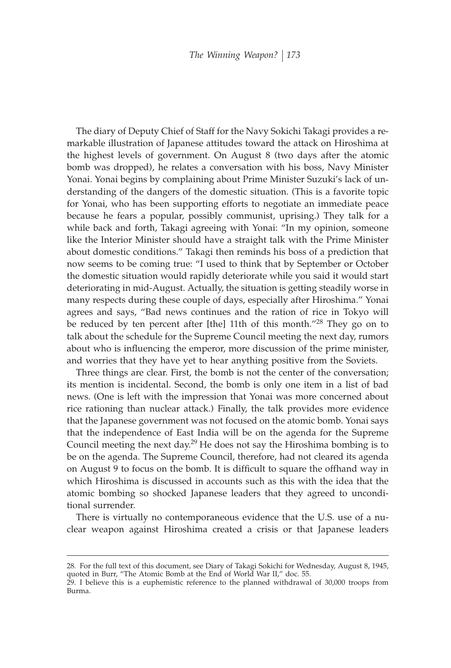The diary of Deputy Chief of Staff for the Navy Sokichi Takagi provides a remarkable illustration of Japanese attitudes toward the attack on Hiroshima at the highest levels of government. On August 8 (two days after the atomic bomb was dropped), he relates a conversation with his boss, Navy Minister Yonai. Yonai begins by complaining about Prime Minister Suzuki's lack of understanding of the dangers of the domestic situation. (This is a favorite topic for Yonai, who has been supporting efforts to negotiate an immediate peace because he fears a popular, possibly communist, uprising.) They talk for a while back and forth, Takagi agreeing with Yonai: "In my opinion, someone like the Interior Minister should have a straight talk with the Prime Minister about domestic conditions." Takagi then reminds his boss of a prediction that now seems to be coming true: "I used to think that by September or October the domestic situation would rapidly deteriorate while you said it would start deteriorating in mid-August. Actually, the situation is getting steadily worse in many respects during these couple of days, especially after Hiroshima." Yonai agrees and says, "Bad news continues and the ration of rice in Tokyo will be reduced by ten percent after [the] 11th of this month."<sup>28</sup> They go on to talk about the schedule for the Supreme Council meeting the next day, rumors about who is influencing the emperor, more discussion of the prime minister, and worries that they have yet to hear anything positive from the Soviets.

Three things are clear. First, the bomb is not the center of the conversation; its mention is incidental. Second, the bomb is only one item in a list of bad news. (One is left with the impression that Yonai was more concerned about rice rationing than nuclear attack.) Finally, the talk provides more evidence that the Japanese government was not focused on the atomic bomb. Yonai says that the independence of East India will be on the agenda for the Supreme Council meeting the next day.<sup>29</sup> He does not say the Hiroshima bombing is to be on the agenda. The Supreme Council, therefore, had not cleared its agenda on August 9 to focus on the bomb. It is difficult to square the offhand way in which Hiroshima is discussed in accounts such as this with the idea that the atomic bombing so shocked Japanese leaders that they agreed to unconditional surrender.

There is virtually no contemporaneous evidence that the U.S. use of a nuclear weapon against Hiroshima created a crisis or that Japanese leaders

<sup>28.</sup> For the full text of this document, see Diary of Takagi Sokichi for Wednesday, August 8, 1945, quoted in Burr, "The Atomic Bomb at the End of World War II," doc. 55.

<sup>29.</sup> I believe this is a euphemistic reference to the planned withdrawal of 30,000 troops from Burma.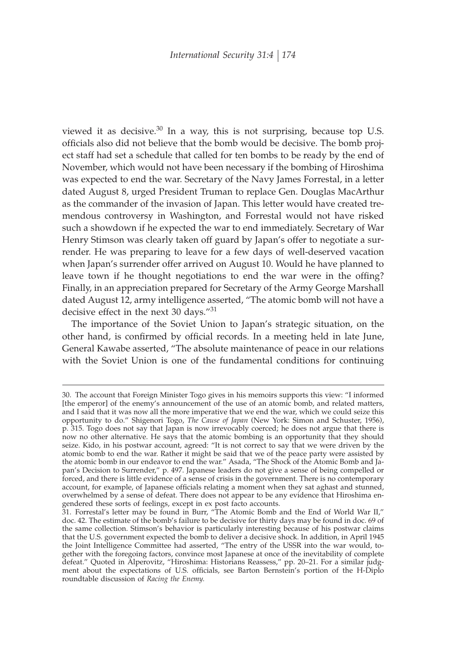viewed it as decisive.<sup>30</sup> In a way, this is not surprising, because top U.S. officials also did not believe that the bomb would be decisive. The bomb project staff had set a schedule that called for ten bombs to be ready by the end of November, which would not have been necessary if the bombing of Hiroshima was expected to end the war. Secretary of the Navy James Forrestal, in a letter dated August 8, urged President Truman to replace Gen. Douglas MacArthur as the commander of the invasion of Japan. This letter would have created tremendous controversy in Washington, and Forrestal would not have risked such a showdown if he expected the war to end immediately. Secretary of War Henry Stimson was clearly taken off guard by Japan's offer to negotiate a surrender. He was preparing to leave for a few days of well-deserved vacation when Japan's surrender offer arrived on August 10. Would he have planned to leave town if he thought negotiations to end the war were in the offing? Finally, in an appreciation prepared for Secretary of the Army George Marshall dated August 12, army intelligence asserted, "The atomic bomb will not have a decisive effect in the next 30 days."<sup>31</sup>

The importance of the Soviet Union to Japan's strategic situation, on the other hand, is confirmed by official records. In a meeting held in late June, General Kawabe asserted, "The absolute maintenance of peace in our relations with the Soviet Union is one of the fundamental conditions for continuing

<sup>30.</sup> The account that Foreign Minister Togo gives in his memoirs supports this view: "I informed [the emperor] of the enemy's announcement of the use of an atomic bomb, and related matters, and I said that it was now all the more imperative that we end the war, which we could seize this opportunity to do." Shigenori Togo, *The Cause of Japan* (New York: Simon and Schuster, 1956), p. 315. Togo does not say that Japan is now irrevocably coerced; he does not argue that there is now no other alternative. He says that the atomic bombing is an opportunity that they should seize. Kido, in his postwar account, agreed: "It is not correct to say that we were driven by the atomic bomb to end the war. Rather it might be said that we of the peace party were assisted by the atomic bomb in our endeavor to end the war." Asada, "The Shock of the Atomic Bomb and Japan's Decision to Surrender," p. 497. Japanese leaders do not give a sense of being compelled or forced, and there is little evidence of a sense of crisis in the government. There is no contemporary account, for example, of Japanese officials relating a moment when they sat aghast and stunned, overwhelmed by a sense of defeat. There does not appear to be any evidence that Hiroshima engendered these sorts of feelings, except in ex post facto accounts.

<sup>31.</sup> Forrestal's letter may be found in Burr, "The Atomic Bomb and the End of World War II," doc. 42. The estimate of the bomb's failure to be decisive for thirty days may be found in doc. 69 of the same collection. Stimson's behavior is particularly interesting because of his postwar claims that the U.S. government expected the bomb to deliver a decisive shock. In addition, in April 1945 the Joint Intelligence Committee had asserted, "The entry of the USSR into the war would, together with the foregoing factors, convince most Japanese at once of the inevitability of complete defeat." Quoted in Alperovitz, "Hiroshima: Historians Reassess," pp. 20-21. For a similar judgment about the expectations of U.S. officials, see Barton Bernstein's portion of the H-Diplo roundtable discussion of *Racing the Enemy.*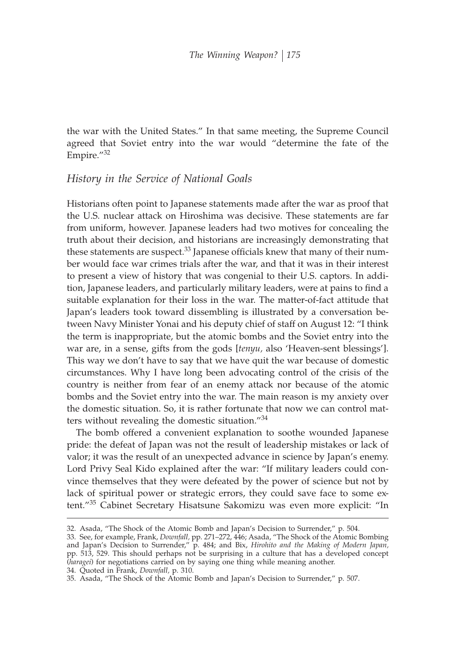the war with the United States." In that same meeting, the Supreme Council agreed that Soviet entry into the war would "determine the fate of the Empire."<sup>32</sup>

### *History in the Service of National Goals*

Historians often point to Japanese statements made after the war as proof that the U.S. nuclear attack on Hiroshima was decisive. These statements are far from uniform, however. Japanese leaders had two motives for concealing the truth about their decision, and historians are increasingly demonstrating that these statements are suspect.<sup>33</sup> Japanese officials knew that many of their number would face war crimes trials after the war, and that it was in their interest to present a view of history that was congenial to their U.S. captors. In addition, Japanese leaders, and particularly military leaders, were at pains to find a suitable explanation for their loss in the war. The matter-of-fact attitude that Japan's leaders took toward dissembling is illustrated by a conversation between Navy Minister Yonai and his deputy chief of staff on August 12: "I think the term is inappropriate, but the atomic bombs and the Soviet entry into the war are, in a sense, gifts from the gods [*tenyu,* also 'Heaven-sent blessings']. This way we don't have to say that we have quit the war because of domestic circumstances. Why I have long been advocating control of the crisis of the country is neither from fear of an enemy attack nor because of the atomic bombs and the Soviet entry into the war. The main reason is my anxiety over the domestic situation. So, it is rather fortunate that now we can control matters without revealing the domestic situation."<sup>34</sup>

The bomb offered a convenient explanation to soothe wounded Japanese pride: the defeat of Japan was not the result of leadership mistakes or lack of valor; it was the result of an unexpected advance in science by Japan's enemy. Lord Privy Seal Kido explained after the war: "If military leaders could convince themselves that they were defeated by the power of science but not by lack of spiritual power or strategic errors, they could save face to some extent."<sup>35</sup> Cabinet Secretary Hisatsune Sakomizu was even more explicit: "In

<sup>32.</sup> Asada, "The Shock of the Atomic Bomb and Japan's Decision to Surrender," p. 504.

<sup>33.</sup> See, for example, Frank, *Downfall,* pp. 271–272, 446; Asada, "The Shock of the Atomic Bombing and Japan's Decision to Surrender," p. 484; and Bix, *Hirohito and the Making of Modern Japan,* pp. 513, 529. This should perhaps not be surprising in a culture that has a developed concept (*haragei*) for negotiations carried on by saying one thing while meaning another.

<sup>34.</sup> Quoted in Frank, *Downfall,* p. 310.

<sup>35.</sup> Asada, "The Shock of the Atomic Bomb and Japan's Decision to Surrender," p. 507.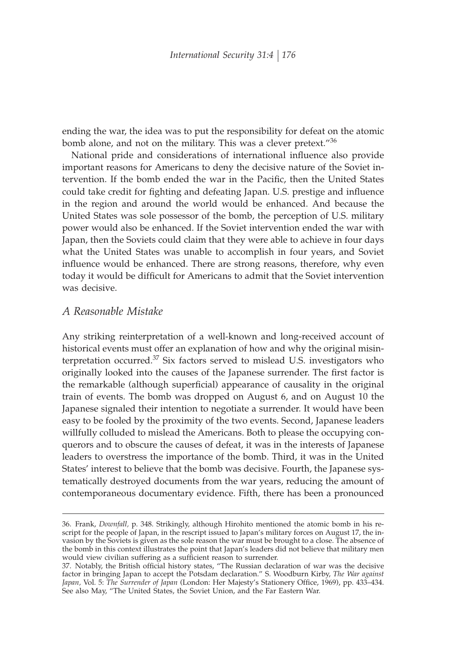ending the war, the idea was to put the responsibility for defeat on the atomic bomb alone, and not on the military. This was a clever pretext."<sup>36</sup>

National pride and considerations of international influence also provide important reasons for Americans to deny the decisive nature of the Soviet intervention. If the bomb ended the war in the Pacific, then the United States could take credit for fighting and defeating Japan. U.S. prestige and influence in the region and around the world would be enhanced. And because the United States was sole possessor of the bomb, the perception of U.S. military power would also be enhanced. If the Soviet intervention ended the war with Japan, then the Soviets could claim that they were able to achieve in four days what the United States was unable to accomplish in four years, and Soviet influence would be enhanced. There are strong reasons, therefore, why even today it would be difficult for Americans to admit that the Soviet intervention was decisive.

## *A Reasonable Mistake*

Any striking reinterpretation of a well-known and long-received account of historical events must offer an explanation of how and why the original misinterpretation occurred.<sup>37</sup> Six factors served to mislead U.S. investigators who originally looked into the causes of the Japanese surrender. The first factor is the remarkable (although superficial) appearance of causality in the original train of events. The bomb was dropped on August 6, and on August 10 the Japanese signaled their intention to negotiate a surrender. It would have been easy to be fooled by the proximity of the two events. Second, Japanese leaders willfully colluded to mislead the Americans. Both to please the occupying conquerors and to obscure the causes of defeat, it was in the interests of Japanese leaders to overstress the importance of the bomb. Third, it was in the United States' interest to believe that the bomb was decisive. Fourth, the Japanese systematically destroyed documents from the war years, reducing the amount of contemporaneous documentary evidence. Fifth, there has been a pronounced

<sup>36.</sup> Frank, *Downfall,* p. 348. Strikingly, although Hirohito mentioned the atomic bomb in his rescript for the people of Japan, in the rescript issued to Japan's military forces on August 17, the invasion by the Soviets is given as the sole reason the war must be brought to a close. The absence of the bomb in this context illustrates the point that Japan's leaders did not believe that military men would view civilian suffering as a sufficient reason to surrender.

<sup>37.</sup> Notably, the British official history states, "The Russian declaration of war was the decisive factor in bringing Japan to accept the Potsdam declaration." S. Woodburn Kirby, *The War against Japan,* Vol. 5: *The Surrender of Japan* (London: Her Majesty's Stationery Ofªce, 1969), pp. 433–434. See also May, "The United States, the Soviet Union, and the Far Eastern War.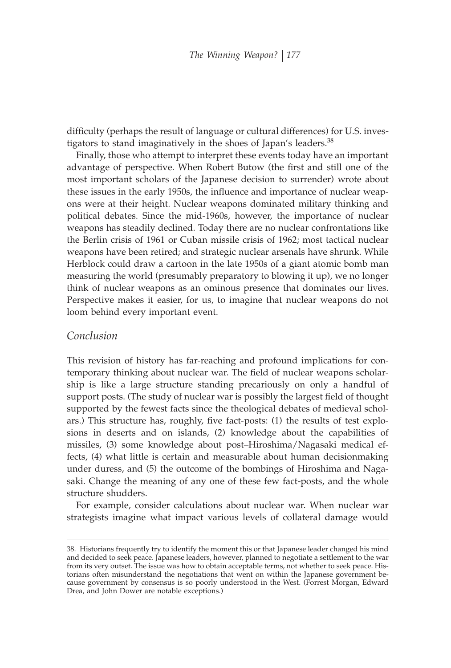difficulty (perhaps the result of language or cultural differences) for U.S. investigators to stand imaginatively in the shoes of Japan's leaders. $38$ 

Finally, those who attempt to interpret these events today have an important advantage of perspective. When Robert Butow (the first and still one of the most important scholars of the Japanese decision to surrender) wrote about these issues in the early 1950s, the influence and importance of nuclear weapons were at their height. Nuclear weapons dominated military thinking and political debates. Since the mid-1960s, however, the importance of nuclear weapons has steadily declined. Today there are no nuclear confrontations like the Berlin crisis of 1961 or Cuban missile crisis of 1962; most tactical nuclear weapons have been retired; and strategic nuclear arsenals have shrunk. While Herblock could draw a cartoon in the late 1950s of a giant atomic bomb man measuring the world (presumably preparatory to blowing it up), we no longer think of nuclear weapons as an ominous presence that dominates our lives. Perspective makes it easier, for us, to imagine that nuclear weapons do not loom behind every important event.

#### *Conclusion*

This revision of history has far-reaching and profound implications for contemporary thinking about nuclear war. The field of nuclear weapons scholarship is like a large structure standing precariously on only a handful of support posts. (The study of nuclear war is possibly the largest field of thought supported by the fewest facts since the theological debates of medieval scholars.) This structure has, roughly, five fact-posts: (1) the results of test explosions in deserts and on islands, (2) knowledge about the capabilities of missiles, (3) some knowledge about post–Hiroshima/Nagasaki medical effects, (4) what little is certain and measurable about human decisionmaking under duress, and (5) the outcome of the bombings of Hiroshima and Nagasaki. Change the meaning of any one of these few fact-posts, and the whole structure shudders.

For example, consider calculations about nuclear war. When nuclear war strategists imagine what impact various levels of collateral damage would

<sup>38.</sup> Historians frequently try to identify the moment this or that Japanese leader changed his mind and decided to seek peace. Japanese leaders, however, planned to negotiate a settlement to the war from its very outset. The issue was how to obtain acceptable terms, not whether to seek peace. Historians often misunderstand the negotiations that went on within the Japanese government because government by consensus is so poorly understood in the West. (Forrest Morgan, Edward Drea, and John Dower are notable exceptions.)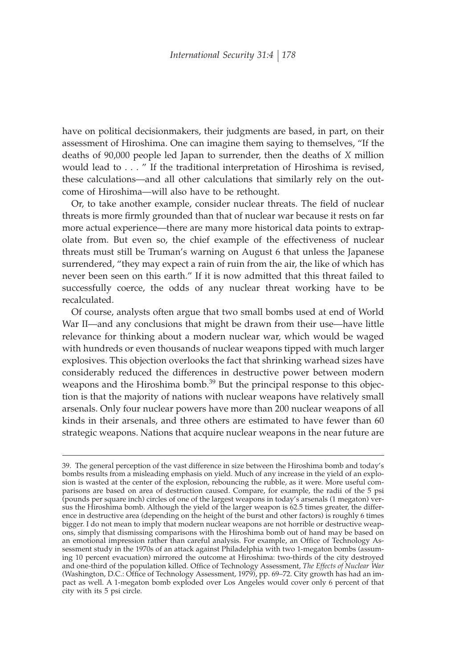have on political decisionmakers, their judgments are based, in part, on their assessment of Hiroshima. One can imagine them saying to themselves, "If the deaths of 90,000 people led Japan to surrender, then the deaths of *X* million would lead to . . . " If the traditional interpretation of Hiroshima is revised, these calculations—and all other calculations that similarly rely on the outcome of Hiroshima—will also have to be rethought.

Or, to take another example, consider nuclear threats. The field of nuclear threats is more firmly grounded than that of nuclear war because it rests on far more actual experience—there are many more historical data points to extrapolate from. But even so, the chief example of the effectiveness of nuclear threats must still be Truman's warning on August 6 that unless the Japanese surrendered, "they may expect a rain of ruin from the air, the like of which has never been seen on this earth." If it is now admitted that this threat failed to successfully coerce, the odds of any nuclear threat working have to be recalculated.

Of course, analysts often argue that two small bombs used at end of World War II—and any conclusions that might be drawn from their use—have little relevance for thinking about a modern nuclear war, which would be waged with hundreds or even thousands of nuclear weapons tipped with much larger explosives. This objection overlooks the fact that shrinking warhead sizes have considerably reduced the differences in destructive power between modern weapons and the Hiroshima bomb. $39$  But the principal response to this objection is that the majority of nations with nuclear weapons have relatively small arsenals. Only four nuclear powers have more than 200 nuclear weapons of all kinds in their arsenals, and three others are estimated to have fewer than 60 strategic weapons. Nations that acquire nuclear weapons in the near future are

<sup>39.</sup> The general perception of the vast difference in size between the Hiroshima bomb and today's bombs results from a misleading emphasis on yield. Much of any increase in the yield of an explosion is wasted at the center of the explosion, rebouncing the rubble, as it were. More useful comparisons are based on area of destruction caused. Compare, for example, the radii of the 5 psi (pounds per square inch) circles of one of the largest weapons in today's arsenals (1 megaton) versus the Hiroshima bomb. Although the yield of the larger weapon is 62.5 times greater, the difference in destructive area (depending on the height of the burst and other factors) is roughly 6 times bigger. I do not mean to imply that modern nuclear weapons are not horrible or destructive weapons, simply that dismissing comparisons with the Hiroshima bomb out of hand may be based on an emotional impression rather than careful analysis. For example, an Office of Technology Assessment study in the 1970s of an attack against Philadelphia with two 1-megaton bombs (assuming 10 percent evacuation) mirrored the outcome at Hiroshima: two-thirds of the city destroyed and one-third of the population killed. Office of Technology Assessment, *The Effects of Nuclear War* (Washington, D.C.: Office of Technology Assessment, 1979), pp. 69–72. City growth has had an impact as well. A 1-megaton bomb exploded over Los Angeles would cover only 6 percent of that city with its 5 psi circle.